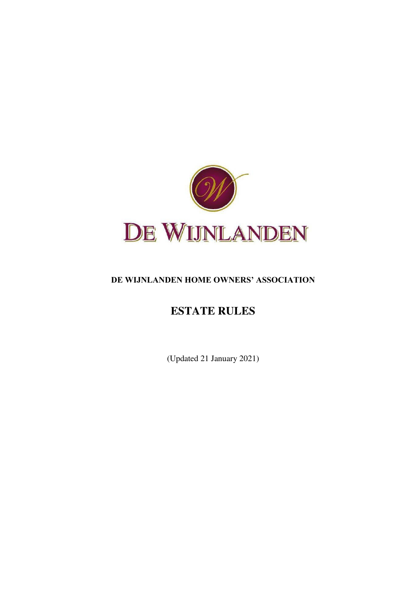

# **DE WIJNLANDEN HOME OWNERS' ASSOCIATION**

# **ESTATE RULES**

(Updated 21 January 2021)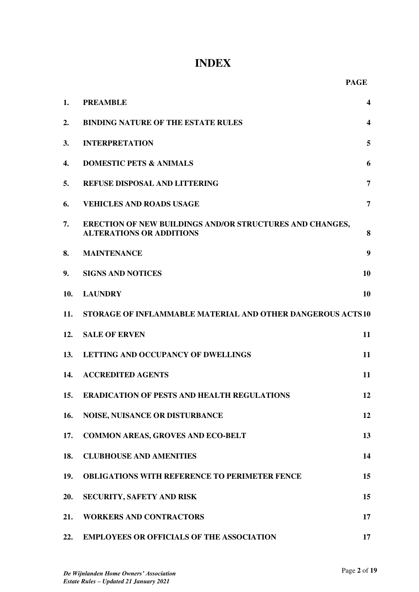# **INDEX**

| 1.  | <b>PREAMBLE</b>                                                                                    | 4                       |  |  |
|-----|----------------------------------------------------------------------------------------------------|-------------------------|--|--|
| 2.  | <b>BINDING NATURE OF THE ESTATE RULES</b>                                                          | $\overline{\mathbf{4}}$ |  |  |
| 3.  | <b>INTERPRETATION</b>                                                                              | 5                       |  |  |
| 4.  | <b>DOMESTIC PETS &amp; ANIMALS</b>                                                                 | 6                       |  |  |
| 5.  | <b>REFUSE DISPOSAL AND LITTERING</b>                                                               | 7                       |  |  |
| 6.  | <b>VEHICLES AND ROADS USAGE</b>                                                                    | $\overline{7}$          |  |  |
| 7.  | <b>ERECTION OF NEW BUILDINGS AND/OR STRUCTURES AND CHANGES,</b><br><b>ALTERATIONS OR ADDITIONS</b> | 8                       |  |  |
| 8.  | <b>MAINTENANCE</b>                                                                                 | 9                       |  |  |
| 9.  | <b>SIGNS AND NOTICES</b>                                                                           | 10                      |  |  |
| 10. | <b>LAUNDRY</b>                                                                                     | 10                      |  |  |
| 11. | STORAGE OF INFLAMMABLE MATERIAL AND OTHER DANGEROUS ACTS10                                         |                         |  |  |
| 12. | <b>SALE OF ERVEN</b>                                                                               | 11                      |  |  |
| 13. | LETTING AND OCCUPANCY OF DWELLINGS                                                                 | 11                      |  |  |
| 14. | <b>ACCREDITED AGENTS</b>                                                                           | 11                      |  |  |
| 15. | <b>ERADICATION OF PESTS AND HEALTH REGULATIONS</b>                                                 | 12                      |  |  |
| 16. | <b>NOISE, NUISANCE OR DISTURBANCE</b>                                                              | 12                      |  |  |
| 17. | <b>COMMON AREAS, GROVES AND ECO-BELT</b>                                                           | 13                      |  |  |
| 18. | <b>CLUBHOUSE AND AMENITIES</b>                                                                     | 14                      |  |  |
| 19. | <b>OBLIGATIONS WITH REFERENCE TO PERIMETER FENCE</b>                                               | 15                      |  |  |
| 20. | SECURITY, SAFETY AND RISK                                                                          | 15                      |  |  |
| 21. | <b>WORKERS AND CONTRACTORS</b>                                                                     | 17                      |  |  |
| 22. | <b>EMPLOYEES OR OFFICIALS OF THE ASSOCIATION</b>                                                   | 17                      |  |  |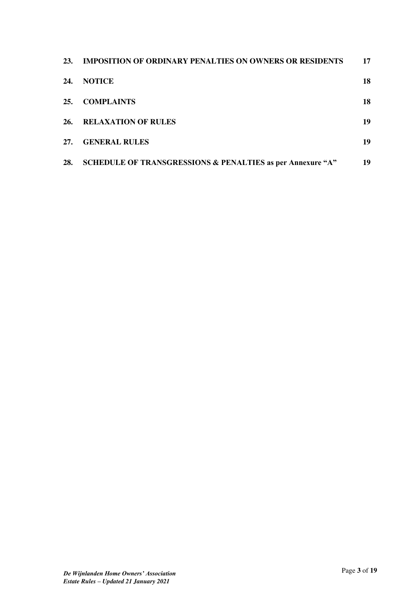| <b>23.</b> | <b>IMPOSITION OF ORDINARY PENALTIES ON OWNERS OR RESIDENTS</b> | 17 |
|------------|----------------------------------------------------------------|----|
| 24.        | <b>NOTICE</b>                                                  | 18 |
| 25.        | <b>COMPLAINTS</b>                                              | 18 |
| 26.        | <b>RELAXATION OF RULES</b>                                     | 19 |
| 27.        | <b>GENERAL RULES</b>                                           | 19 |
| 28.        | SCHEDULE OF TRANSGRESSIONS & PENALTIES as per Annexure "A"     | 19 |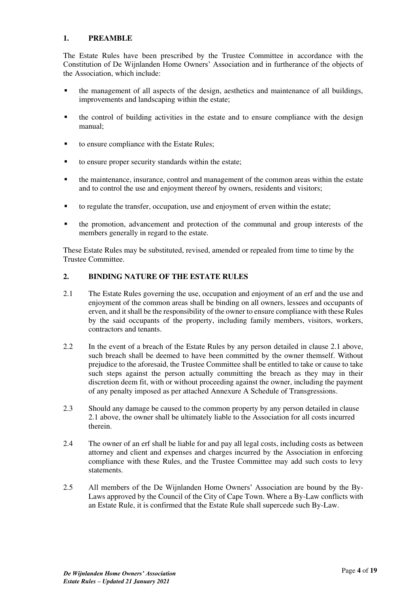# <span id="page-3-0"></span>**1. PREAMBLE**

The Estate Rules have been prescribed by the Trustee Committee in accordance with the Constitution of De Wijnlanden Home Owners' Association and in furtherance of the objects of the Association, which include:

- the management of all aspects of the design, aesthetics and maintenance of all buildings, improvements and landscaping within the estate;
- the control of building activities in the estate and to ensure compliance with the design manual;
- to ensure compliance with the Estate Rules;
- to ensure proper security standards within the estate;
- the maintenance, insurance, control and management of the common areas within the estate and to control the use and enjoyment thereof by owners, residents and visitors;
- to regulate the transfer, occupation, use and enjoyment of erven within the estate;
- the promotion, advancement and protection of the communal and group interests of the members generally in regard to the estate.

These Estate Rules may be substituted, revised, amended or repealed from time to time by the Trustee Committee.

# <span id="page-3-1"></span>**2. BINDING NATURE OF THE ESTATE RULES**

- 2.1 The Estate Rules governing the use, occupation and enjoyment of an erf and the use and enjoyment of the common areas shall be binding on all owners, lessees and occupants of erven, and it shall be the responsibility of the owner to ensure compliance with these Rules by the said occupants of the property, including family members, visitors, workers, contractors and tenants.
- 2.2 In the event of a breach of the Estate Rules by any person detailed in clause 2.1 above, such breach shall be deemed to have been committed by the owner themself. Without prejudice to the aforesaid, the Trustee Committee shall be entitled to take or cause to take such steps against the person actually committing the breach as they may in their discretion deem fit, with or without proceeding against the owner, including the payment of any penalty imposed as per attached Annexure A Schedule of Transgressions.
- 2.3 Should any damage be caused to the common property by any person detailed in clause 2.1 above, the owner shall be ultimately liable to the Association for all costs incurred therein.
- 2.4 The owner of an erf shall be liable for and pay all legal costs, including costs as between attorney and client and expenses and charges incurred by the Association in enforcing compliance with these Rules, and the Trustee Committee may add such costs to levy statements.
- 2.5 All members of the De Wijnlanden Home Owners' Association are bound by the By-Laws approved by the Council of the City of Cape Town. Where a By-Law conflicts with an Estate Rule, it is confirmed that the Estate Rule shall supercede such By-Law.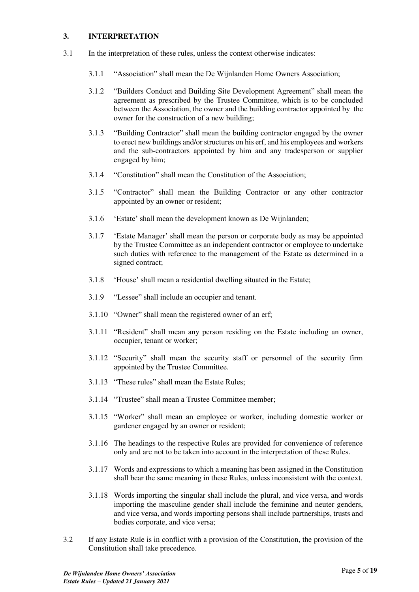#### <span id="page-4-0"></span>**3. INTERPRETATION**

- 3.1 In the interpretation of these rules, unless the context otherwise indicates:
	- 3.1.1 "Association" shall mean the De Wijnlanden Home Owners Association;
	- 3.1.2 "Builders Conduct and Building Site Development Agreement" shall mean the agreement as prescribed by the Trustee Committee, which is to be concluded between the Association, the owner and the building contractor appointed by the owner for the construction of a new building;
	- 3.1.3 "Building Contractor" shall mean the building contractor engaged by the owner to erect new buildings and/or structures on his erf, and his employees and workers and the sub-contractors appointed by him and any tradesperson or supplier engaged by him;
	- 3.1.4 "Constitution" shall mean the Constitution of the Association;
	- 3.1.5 "Contractor" shall mean the Building Contractor or any other contractor appointed by an owner or resident;
	- 3.1.6 'Estate' shall mean the development known as De Wijnlanden;
	- 3.1.7 'Estate Manager' shall mean the person or corporate body as may be appointed by the Trustee Committee as an independent contractor or employee to undertake such duties with reference to the management of the Estate as determined in a signed contract;
	- 3.1.8 'House' shall mean a residential dwelling situated in the Estate;
	- 3.1.9 "Lessee" shall include an occupier and tenant.
	- 3.1.10 "Owner" shall mean the registered owner of an erf;
	- 3.1.11 "Resident" shall mean any person residing on the Estate including an owner, occupier, tenant or worker;
	- 3.1.12 "Security" shall mean the security staff or personnel of the security firm appointed by the Trustee Committee.
	- 3.1.13 "These rules" shall mean the Estate Rules;
	- 3.1.14 "Trustee" shall mean a Trustee Committee member;
	- 3.1.15 "Worker" shall mean an employee or worker, including domestic worker or gardener engaged by an owner or resident;
	- 3.1.16 The headings to the respective Rules are provided for convenience of reference only and are not to be taken into account in the interpretation of these Rules.
	- 3.1.17 Words and expressions to which a meaning has been assigned in the Constitution shall bear the same meaning in these Rules, unless inconsistent with the context.
	- 3.1.18 Words importing the singular shall include the plural, and vice versa, and words importing the masculine gender shall include the feminine and neuter genders, and vice versa, and words importing persons shall include partnerships, trusts and bodies corporate, and vice versa;
- 3.2 If any Estate Rule is in conflict with a provision of the Constitution, the provision of the Constitution shall take precedence.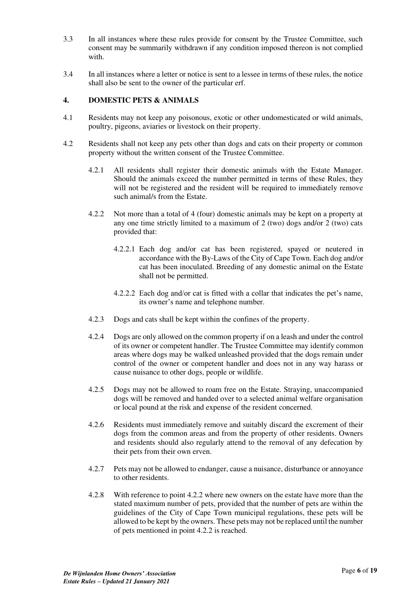- 3.3 In all instances where these rules provide for consent by the Trustee Committee, such consent may be summarily withdrawn if any condition imposed thereon is not complied with.
- 3.4 In all instances where a letter or notice is sent to a lessee in terms of these rules, the notice shall also be sent to the owner of the particular erf.

### <span id="page-5-0"></span>**4. DOMESTIC PETS & ANIMALS**

- 4.1 Residents may not keep any poisonous, exotic or other undomesticated or wild animals, poultry, pigeons, aviaries or livestock on their property.
- 4.2 Residents shall not keep any pets other than dogs and cats on their property or common property without the written consent of the Trustee Committee.
	- 4.2.1 All residents shall register their domestic animals with the Estate Manager. Should the animals exceed the number permitted in terms of these Rules, they will not be registered and the resident will be required to immediately remove such animal/s from the Estate.
	- 4.2.2 Not more than a total of 4 (four) domestic animals may be kept on a property at any one time strictly limited to a maximum of 2 (two) dogs and/or 2 (two) cats provided that:
		- 4.2.2.1 Each dog and/or cat has been registered, spayed or neutered in accordance with the By-Laws of the City of Cape Town. Each dog and/or cat has been inoculated. Breeding of any domestic animal on the Estate shall not be permitted.
		- 4.2.2.2 Each dog and/or cat is fitted with a collar that indicates the pet's name, its owner's name and telephone number.
	- 4.2.3 Dogs and cats shall be kept within the confines of the property.
	- 4.2.4 Dogs are only allowed on the common property if on a leash and under the control of its owner or competent handler. The Trustee Committee may identify common areas where dogs may be walked unleashed provided that the dogs remain under control of the owner or competent handler and does not in any way harass or cause nuisance to other dogs, people or wildlife.
	- 4.2.5 Dogs may not be allowed to roam free on the Estate. Straying, unaccompanied dogs will be removed and handed over to a selected animal welfare organisation or local pound at the risk and expense of the resident concerned.
	- 4.2.6 Residents must immediately remove and suitably discard the excrement of their dogs from the common areas and from the property of other residents. Owners and residents should also regularly attend to the removal of any defecation by their pets from their own erven.
	- 4.2.7 Pets may not be allowed to endanger, cause a nuisance, disturbance or annoyance to other residents.
	- 4.2.8 With reference to point 4.2.2 where new owners on the estate have more than the stated maximum number of pets, provided that the number of pets are within the guidelines of the City of Cape Town municipal regulations, these pets will be allowed to be kept by the owners. These pets may not be replaced until the number of pets mentioned in point 4.2.2 is reached.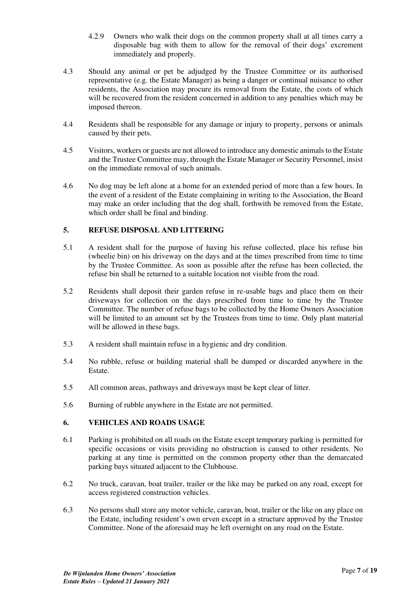- 4.2.9 Owners who walk their dogs on the common property shall at all times carry a disposable bag with them to allow for the removal of their dogs' excrement immediately and properly.
- 4.3 Should any animal or pet be adjudged by the Trustee Committee or its authorised representative (e.g. the Estate Manager) as being a danger or continual nuisance to other residents, the Association may procure its removal from the Estate, the costs of which will be recovered from the resident concerned in addition to any penalties which may be imposed thereon.
- 4.4 Residents shall be responsible for any damage or injury to property, persons or animals caused by their pets.
- 4.5 Visitors, workers or guests are not allowed to introduce any domestic animals to the Estate and the Trustee Committee may, through the Estate Manager or Security Personnel, insist on the immediate removal of such animals.
- 4.6 No dog may be left alone at a home for an extended period of more than a few hours. In the event of a resident of the Estate complaining in writing to the Association, the Board may make an order including that the dog shall, forthwith be removed from the Estate, which order shall be final and binding.

# <span id="page-6-0"></span>**5. REFUSE DISPOSAL AND LITTERING**

- 5.1 A resident shall for the purpose of having his refuse collected, place his refuse bin (wheelie bin) on his driveway on the days and at the times prescribed from time to time by the Trustee Committee. As soon as possible after the refuse has been collected, the refuse bin shall be returned to a suitable location not visible from the road.
- 5.2 Residents shall deposit their garden refuse in re-usable bags and place them on their driveways for collection on the days prescribed from time to time by the Trustee Committee. The number of refuse bags to be collected by the Home Owners Association will be limited to an amount set by the Trustees from time to time. Only plant material will be allowed in these bags.
- 5.3 A resident shall maintain refuse in a hygienic and dry condition.
- 5.4 No rubble, refuse or building material shall be dumped or discarded anywhere in the Estate.
- 5.5 All common areas, pathways and driveways must be kept clear of litter.
- 5.6 Burning of rubble anywhere in the Estate are not permitted.

# <span id="page-6-1"></span>**6. VEHICLES AND ROADS USAGE**

- 6.1 Parking is prohibited on all roads on the Estate except temporary parking is permitted for specific occasions or visits providing no obstruction is caused to other residents. No parking at any time is permitted on the common property other than the demarcated parking bays situated adjacent to the Clubhouse.
- 6.2 No truck, caravan, boat trailer, trailer or the like may be parked on any road, except for access registered construction vehicles.
- 6.3 No persons shall store any motor vehicle, caravan, boat, trailer or the like on any place on the Estate, including resident's own erven except in a structure approved by the Trustee Committee. None of the aforesaid may be left overnight on any road on the Estate.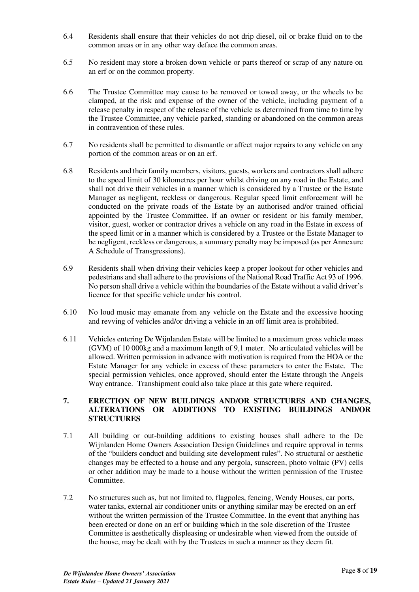- 6.4 Residents shall ensure that their vehicles do not drip diesel, oil or brake fluid on to the common areas or in any other way deface the common areas.
- 6.5 No resident may store a broken down vehicle or parts thereof or scrap of any nature on an erf or on the common property.
- 6.6 The Trustee Committee may cause to be removed or towed away, or the wheels to be clamped, at the risk and expense of the owner of the vehicle, including payment of a release penalty in respect of the release of the vehicle as determined from time to time by the Trustee Committee, any vehicle parked, standing or abandoned on the common areas in contravention of these rules.
- 6.7 No residents shall be permitted to dismantle or affect major repairs to any vehicle on any portion of the common areas or on an erf.
- 6.8 Residents and their family members, visitors, guests, workers and contractors shall adhere to the speed limit of 30 kilometres per hour whilst driving on any road in the Estate, and shall not drive their vehicles in a manner which is considered by a Trustee or the Estate Manager as negligent, reckless or dangerous. Regular speed limit enforcement will be conducted on the private roads of the Estate by an authorised and/or trained official appointed by the Trustee Committee. If an owner or resident or his family member, visitor, guest, worker or contractor drives a vehicle on any road in the Estate in excess of the speed limit or in a manner which is considered by a Trustee or the Estate Manager to be negligent, reckless or dangerous, a summary penalty may be imposed (as per Annexure A Schedule of Transgressions).
- 6.9 Residents shall when driving their vehicles keep a proper lookout for other vehicles and pedestrians and shall adhere to the provisions of the National Road Traffic Act 93 of 1996. No person shall drive a vehicle within the boundaries of the Estate without a valid driver's licence for that specific vehicle under his control.
- 6.10 No loud music may emanate from any vehicle on the Estate and the excessive hooting and revving of vehicles and/or driving a vehicle in an off limit area is prohibited.
- 6.11 Vehicles entering De Wijnlanden Estate will be limited to a maximum gross vehicle mass (GVM) of 10 000kg and a maximum length of 9,1 meter. No articulated vehicles will be allowed. Written permission in advance with motivation is required from the HOA or the Estate Manager for any vehicle in excess of these parameters to enter the Estate. The special permission vehicles, once approved, should enter the Estate through the Angels Way entrance. Transhipment could also take place at this gate where required.

#### <span id="page-7-0"></span>**7. ERECTION OF NEW BUILDINGS AND/OR STRUCTURES AND CHANGES, ALTERATIONS OR ADDITIONS TO EXISTING BUILDINGS AND/OR STRUCTURES**

- 7.1 All building or out-building additions to existing houses shall adhere to the De Wijnlanden Home Owners Association Design Guidelines and require approval in terms of the "builders conduct and building site development rules". No structural or aesthetic changes may be effected to a house and any pergola, sunscreen, photo voltaic (PV) cells or other addition may be made to a house without the written permission of the Trustee Committee.
- 7.2 No structures such as, but not limited to, flagpoles, fencing, Wendy Houses, car ports, water tanks, external air conditioner units or anything similar may be erected on an erf without the written permission of the Trustee Committee. In the event that anything has been erected or done on an erf or building which in the sole discretion of the Trustee Committee is aesthetically displeasing or undesirable when viewed from the outside of the house, may be dealt with by the Trustees in such a manner as they deem fit.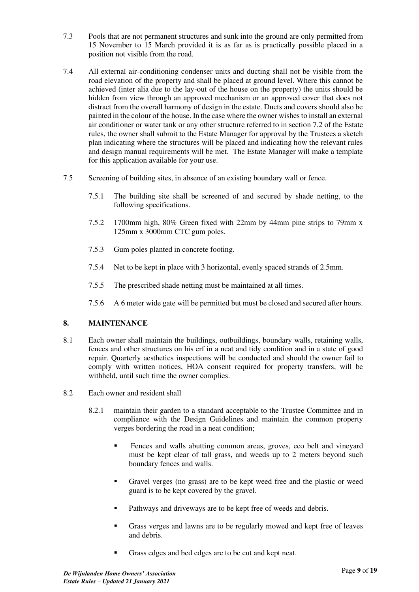- 7.3 Pools that are not permanent structures and sunk into the ground are only permitted from 15 November to 15 March provided it is as far as is practically possible placed in a position not visible from the road.
- 7.4 All external air-conditioning condenser units and ducting shall not be visible from the road elevation of the property and shall be placed at ground level. Where this cannot be achieved (inter alia due to the lay-out of the house on the property) the units should be hidden from view through an approved mechanism or an approved cover that does not distract from the overall harmony of design in the estate. Ducts and covers should also be painted in the colour of the house. In the case where the owner wishes to install an external air conditioner or water tank or any other structure referred to in section 7.2 of the Estate rules, the owner shall submit to the Estate Manager for approval by the Trustees a sketch plan indicating where the structures will be placed and indicating how the relevant rules and design manual requirements will be met. The Estate Manager will make a template for this application available for your use.
- 7.5 Screening of building sites, in absence of an existing boundary wall or fence.
	- 7.5.1 The building site shall be screened of and secured by shade netting, to the following specifications.
	- 7.5.2 1700mm high, 80% Green fixed with 22mm by 44mm pine strips to 79mm x 125mm x 3000mm CTC gum poles.
	- 7.5.3 Gum poles planted in concrete footing.
	- 7.5.4 Net to be kept in place with 3 horizontal, evenly spaced strands of 2.5mm.
	- 7.5.5 The prescribed shade netting must be maintained at all times.
	- 7.5.6 A 6 meter wide gate will be permitted but must be closed and secured after hours.

#### <span id="page-8-0"></span>**8. MAINTENANCE**

- 8.1 Each owner shall maintain the buildings, outbuildings, boundary walls, retaining walls, fences and other structures on his erf in a neat and tidy condition and in a state of good repair. Quarterly aesthetics inspections will be conducted and should the owner fail to comply with written notices, HOA consent required for property transfers, will be withheld, until such time the owner complies.
- 8.2 Each owner and resident shall
	- 8.2.1 maintain their garden to a standard acceptable to the Trustee Committee and in compliance with the Design Guidelines and maintain the common property verges bordering the road in a neat condition;
		- **EXECUTE:** Fences and walls abutting common areas, groves, eco belt and vineyard must be kept clear of tall grass, and weeds up to 2 meters beyond such boundary fences and walls.
		- Gravel verges (no grass) are to be kept weed free and the plastic or weed guard is to be kept covered by the gravel.
		- Pathways and driveways are to be kept free of weeds and debris.
		- Grass verges and lawns are to be regularly mowed and kept free of leaves and debris.
		- Grass edges and bed edges are to be cut and kept neat.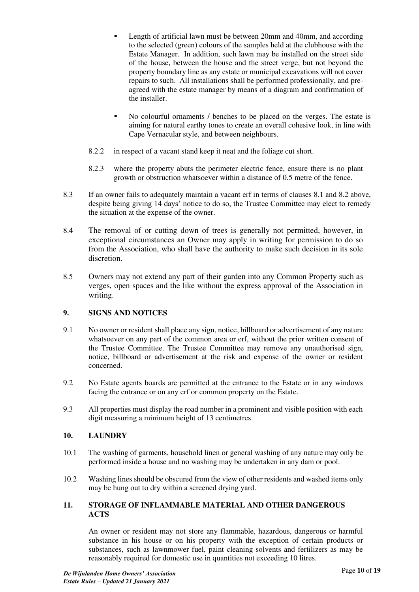- Length of artificial lawn must be between 20mm and 40mm, and according to the selected (green) colours of the samples held at the clubhouse with the Estate Manager. In addition, such lawn may be installed on the street side of the house, between the house and the street verge, but not beyond the property boundary line as any estate or municipal excavations will not cover repairs to such. All installations shall be performed professionally, and preagreed with the estate manager by means of a diagram and confirmation of the installer.
- No colourful ornaments / benches to be placed on the verges. The estate is aiming for natural earthy tones to create an overall cohesive look, in line with Cape Vernacular style, and between neighbours.
- 8.2.2 in respect of a vacant stand keep it neat and the foliage cut short.
- 8.2.3 where the property abuts the perimeter electric fence, ensure there is no plant growth or obstruction whatsoever within a distance of 0.5 metre of the fence.
- 8.3 If an owner fails to adequately maintain a vacant erf in terms of clauses 8.1 and 8.2 above, despite being giving 14 days' notice to do so, the Trustee Committee may elect to remedy the situation at the expense of the owner.
- 8.4 The removal of or cutting down of trees is generally not permitted, however, in exceptional circumstances an Owner may apply in writing for permission to do so from the Association, who shall have the authority to make such decision in its sole discretion.
- 8.5 Owners may not extend any part of their garden into any Common Property such as verges, open spaces and the like without the express approval of the Association in writing.

# <span id="page-9-0"></span>**9. SIGNS AND NOTICES**

- 9.1 No owner or resident shall place any sign, notice, billboard or advertisement of any nature whatsoever on any part of the common area or erf, without the prior written consent of the Trustee Committee. The Trustee Committee may remove any unauthorised sign, notice, billboard or advertisement at the risk and expense of the owner or resident concerned.
- 9.2 No Estate agents boards are permitted at the entrance to the Estate or in any windows facing the entrance or on any erf or common property on the Estate.
- 9.3 All properties must display the road number in a prominent and visible position with each digit measuring a minimum height of 13 centimetres.

# <span id="page-9-1"></span>**10. LAUNDRY**

- 10.1 The washing of garments, household linen or general washing of any nature may only be performed inside a house and no washing may be undertaken in any dam or pool.
- 10.2 Washing lines should be obscured from the view of other residents and washed items only may be hung out to dry within a screened drying yard.

#### <span id="page-9-2"></span>**11. STORAGE OF INFLAMMABLE MATERIAL AND OTHER DANGEROUS ACTS**

An owner or resident may not store any flammable, hazardous, dangerous or harmful substance in his house or on his property with the exception of certain products or substances, such as lawnmower fuel, paint cleaning solvents and fertilizers as may be reasonably required for domestic use in quantities not exceeding 10 litres.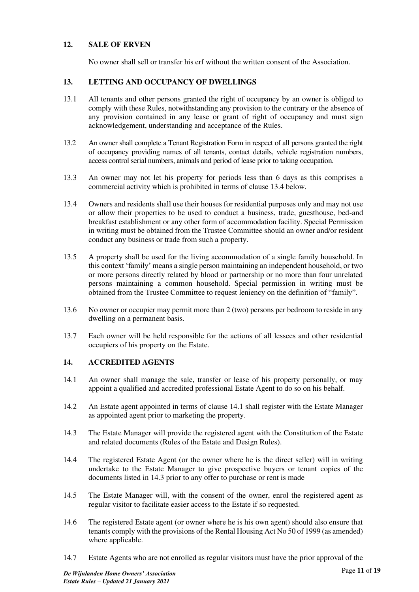# <span id="page-10-0"></span>**12. SALE OF ERVEN**

No owner shall sell or transfer his erf without the written consent of the Association.

# <span id="page-10-1"></span>**13. LETTING AND OCCUPANCY OF DWELLINGS**

- 13.1 All tenants and other persons granted the right of occupancy by an owner is obliged to comply with these Rules, notwithstanding any provision to the contrary or the absence of any provision contained in any lease or grant of right of occupancy and must sign acknowledgement, understanding and acceptance of the Rules.
- 13.2 An owner shall complete a Tenant Registration Form in respect of all persons granted the right of occupancy providing names of all tenants, contact details, vehicle registration numbers, access control serial numbers, animals and period of lease prior to taking occupation.
- 13.3 An owner may not let his property for periods less than 6 days as this comprises a commercial activity which is prohibited in terms of clause 13.4 below.
- 13.4 Owners and residents shall use their houses for residential purposes only and may not use or allow their properties to be used to conduct a business, trade, guesthouse, bed-and breakfast establishment or any other form of accommodation facility. Special Permission in writing must be obtained from the Trustee Committee should an owner and/or resident conduct any business or trade from such a property.
- 13.5 A property shall be used for the living accommodation of a single family household. In this context 'family' means a single person maintaining an independent household, or two or more persons directly related by blood or partnership or no more than four unrelated persons maintaining a common household. Special permission in writing must be obtained from the Trustee Committee to request leniency on the definition of "family".
- 13.6 No owner or occupier may permit more than 2 (two) persons per bedroom to reside in any dwelling on a permanent basis.
- 13.7 Each owner will be held responsible for the actions of all lessees and other residential occupiers of his property on the Estate.

# <span id="page-10-2"></span>**14. ACCREDITED AGENTS**

- 14.1 An owner shall manage the sale, transfer or lease of his property personally, or may appoint a qualified and accredited professional Estate Agent to do so on his behalf.
- 14.2 An Estate agent appointed in terms of clause 14.1 shall register with the Estate Manager as appointed agent prior to marketing the property.
- 14.3 The Estate Manager will provide the registered agent with the Constitution of the Estate and related documents (Rules of the Estate and Design Rules).
- 14.4 The registered Estate Agent (or the owner where he is the direct seller) will in writing undertake to the Estate Manager to give prospective buyers or tenant copies of the documents listed in 14.3 prior to any offer to purchase or rent is made
- 14.5 The Estate Manager will, with the consent of the owner, enrol the registered agent as regular visitor to facilitate easier access to the Estate if so requested.
- 14.6 The registered Estate agent (or owner where he is his own agent) should also ensure that tenants comply with the provisions of the Rental Housing Act No 50 of 1999 (as amended) where applicable.
- 14.7 Estate Agents who are not enrolled as regular visitors must have the prior approval of the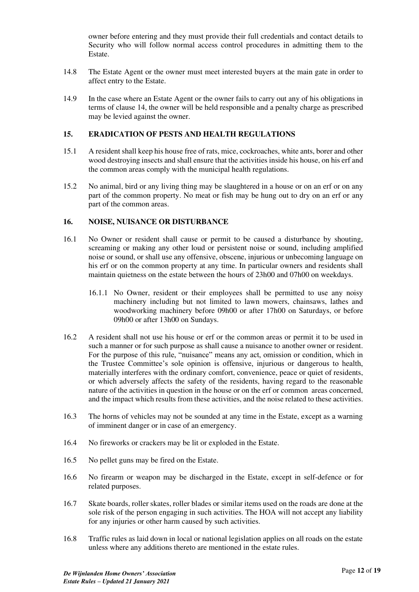owner before entering and they must provide their full credentials and contact details to Security who will follow normal access control procedures in admitting them to the Estate.

- 14.8 The Estate Agent or the owner must meet interested buyers at the main gate in order to affect entry to the Estate.
- 14.9 In the case where an Estate Agent or the owner fails to carry out any of his obligations in terms of clause 14, the owner will be held responsible and a penalty charge as prescribed may be levied against the owner.

#### <span id="page-11-0"></span>**15. ERADICATION OF PESTS AND HEALTH REGULATIONS**

- 15.1 A resident shall keep his house free of rats, mice, cockroaches, white ants, borer and other wood destroying insects and shall ensure that the activities inside his house, on his erf and the common areas comply with the municipal health regulations.
- 15.2 No animal, bird or any living thing may be slaughtered in a house or on an erf or on any part of the common property. No meat or fish may be hung out to dry on an erf or any part of the common areas.

#### <span id="page-11-1"></span>**16. NOISE, NUISANCE OR DISTURBANCE**

- 16.1 No Owner or resident shall cause or permit to be caused a disturbance by shouting, screaming or making any other loud or persistent noise or sound, including amplified noise or sound, or shall use any offensive, obscene, injurious or unbecoming language on his erf or on the common property at any time. In particular owners and residents shall maintain quietness on the estate between the hours of 23h00 and 07h00 on weekdays.
	- 16.1.1 No Owner, resident or their employees shall be permitted to use any noisy machinery including but not limited to lawn mowers, chainsaws, lathes and woodworking machinery before 09h00 or after 17h00 on Saturdays, or before 09h00 or after 13h00 on Sundays.
- 16.2 A resident shall not use his house or erf or the common areas or permit it to be used in such a manner or for such purpose as shall cause a nuisance to another owner or resident. For the purpose of this rule, "nuisance" means any act, omission or condition, which in the Trustee Committee's sole opinion is offensive, injurious or dangerous to health, materially interferes with the ordinary comfort, convenience, peace or quiet of residents, or which adversely affects the safety of the residents, having regard to the reasonable nature of the activities in question in the house or on the erf or common areas concerned, and the impact which results from these activities, and the noise related to these activities.
- 16.3 The horns of vehicles may not be sounded at any time in the Estate, except as a warning of imminent danger or in case of an emergency.
- 16.4 No fireworks or crackers may be lit or exploded in the Estate.
- 16.5 No pellet guns may be fired on the Estate.
- 16.6 No firearm or weapon may be discharged in the Estate, except in self-defence or for related purposes.
- 16.7 Skate boards, roller skates, roller blades or similar items used on the roads are done at the sole risk of the person engaging in such activities. The HOA will not accept any liability for any injuries or other harm caused by such activities.
- 16.8 Traffic rules as laid down in local or national legislation applies on all roads on the estate unless where any additions thereto are mentioned in the estate rules.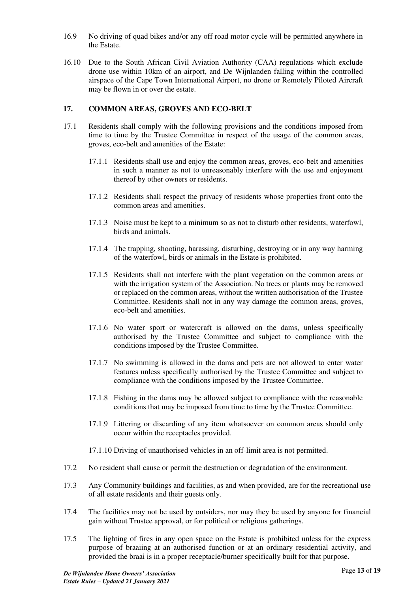- 16.9 No driving of quad bikes and/or any off road motor cycle will be permitted anywhere in the Estate.
- 16.10 Due to the South African Civil Aviation Authority (CAA) regulations which exclude drone use within 10km of an airport, and De Wijnlanden falling within the controlled airspace of the Cape Town International Airport, no drone or Remotely Piloted Aircraft may be flown in or over the estate.

# <span id="page-12-0"></span>**17. COMMON AREAS, GROVES AND ECO-BELT**

- 17.1 Residents shall comply with the following provisions and the conditions imposed from time to time by the Trustee Committee in respect of the usage of the common areas, groves, eco-belt and amenities of the Estate:
	- 17.1.1 Residents shall use and enjoy the common areas, groves, eco-belt and amenities in such a manner as not to unreasonably interfere with the use and enjoyment thereof by other owners or residents.
	- 17.1.2 Residents shall respect the privacy of residents whose properties front onto the common areas and amenities.
	- 17.1.3 Noise must be kept to a minimum so as not to disturb other residents, waterfowl, birds and animals.
	- 17.1.4 The trapping, shooting, harassing, disturbing, destroying or in any way harming of the waterfowl, birds or animals in the Estate is prohibited.
	- 17.1.5 Residents shall not interfere with the plant vegetation on the common areas or with the irrigation system of the Association. No trees or plants may be removed or replaced on the common areas, without the written authorisation of the Trustee Committee. Residents shall not in any way damage the common areas, groves, eco-belt and amenities.
	- 17.1.6 No water sport or watercraft is allowed on the dams, unless specifically authorised by the Trustee Committee and subject to compliance with the conditions imposed by the Trustee Committee.
	- 17.1.7 No swimming is allowed in the dams and pets are not allowed to enter water features unless specifically authorised by the Trustee Committee and subject to compliance with the conditions imposed by the Trustee Committee.
	- 17.1.8 Fishing in the dams may be allowed subject to compliance with the reasonable conditions that may be imposed from time to time by the Trustee Committee.
	- 17.1.9 Littering or discarding of any item whatsoever on common areas should only occur within the receptacles provided.
	- 17.1.10 Driving of unauthorised vehicles in an off-limit area is not permitted.
- 17.2 No resident shall cause or permit the destruction or degradation of the environment.
- 17.3 Any Community buildings and facilities, as and when provided, are for the recreational use of all estate residents and their guests only.
- 17.4 The facilities may not be used by outsiders, nor may they be used by anyone for financial gain without Trustee approval, or for political or religious gatherings.
- 17.5 The lighting of fires in any open space on the Estate is prohibited unless for the express purpose of braaiing at an authorised function or at an ordinary residential activity, and provided the braai is in a proper receptacle/burner specifically built for that purpose.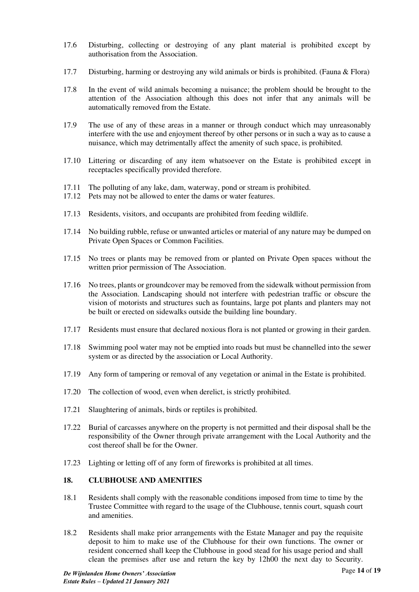- 17.6 Disturbing, collecting or destroying of any plant material is prohibited except by authorisation from the Association.
- 17.7 Disturbing, harming or destroying any wild animals or birds is prohibited. (Fauna & Flora)
- 17.8 In the event of wild animals becoming a nuisance; the problem should be brought to the attention of the Association although this does not infer that any animals will be automatically removed from the Estate.
- 17.9 The use of any of these areas in a manner or through conduct which may unreasonably interfere with the use and enjoyment thereof by other persons or in such a way as to cause a nuisance, which may detrimentally affect the amenity of such space, is prohibited.
- 17.10 Littering or discarding of any item whatsoever on the Estate is prohibited except in receptacles specifically provided therefore.
- 17.11 The polluting of any lake, dam, waterway, pond or stream is prohibited.
- 17.12 Pets may not be allowed to enter the dams or water features.
- 17.13 Residents, visitors, and occupants are prohibited from feeding wildlife.
- 17.14 No building rubble, refuse or unwanted articles or material of any nature may be dumped on Private Open Spaces or Common Facilities.
- 17.15 No trees or plants may be removed from or planted on Private Open spaces without the written prior permission of The Association.
- 17.16 No trees, plants or groundcover may be removed from the sidewalk without permission from the Association. Landscaping should not interfere with pedestrian traffic or obscure the vision of motorists and structures such as fountains, large pot plants and planters may not be built or erected on sidewalks outside the building line boundary.
- 17.17 Residents must ensure that declared noxious flora is not planted or growing in their garden.
- 17.18 Swimming pool water may not be emptied into roads but must be channelled into the sewer system or as directed by the association or Local Authority.
- 17.19 Any form of tampering or removal of any vegetation or animal in the Estate is prohibited.
- 17.20 The collection of wood, even when derelict, is strictly prohibited.
- 17.21 Slaughtering of animals, birds or reptiles is prohibited.
- 17.22 Burial of carcasses anywhere on the property is not permitted and their disposal shall be the responsibility of the Owner through private arrangement with the Local Authority and the cost thereof shall be for the Owner.
- 17.23 Lighting or letting off of any form of fireworks is prohibited at all times.

# <span id="page-13-0"></span>**18. CLUBHOUSE AND AMENITIES**

- 18.1 Residents shall comply with the reasonable conditions imposed from time to time by the Trustee Committee with regard to the usage of the Clubhouse, tennis court, squash court and amenities.
- 18.2 Residents shall make prior arrangements with the Estate Manager and pay the requisite deposit to him to make use of the Clubhouse for their own functions. The owner or resident concerned shall keep the Clubhouse in good stead for his usage period and shall clean the premises after use and return the key by 12h00 the next day to Security.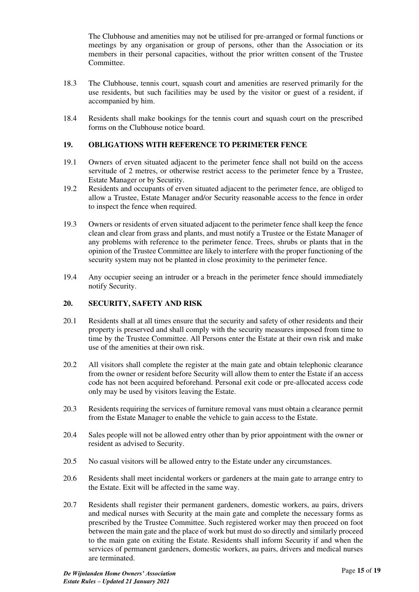The Clubhouse and amenities may not be utilised for pre-arranged or formal functions or meetings by any organisation or group of persons, other than the Association or its members in their personal capacities, without the prior written consent of the Trustee Committee.

- 18.3 The Clubhouse, tennis court, squash court and amenities are reserved primarily for the use residents, but such facilities may be used by the visitor or guest of a resident, if accompanied by him.
- 18.4 Residents shall make bookings for the tennis court and squash court on the prescribed forms on the Clubhouse notice board.

#### <span id="page-14-0"></span>**19. OBLIGATIONS WITH REFERENCE TO PERIMETER FENCE**

- 19.1 Owners of erven situated adjacent to the perimeter fence shall not build on the access servitude of 2 metres, or otherwise restrict access to the perimeter fence by a Trustee, Estate Manager or by Security.
- 19.2 Residents and occupants of erven situated adjacent to the perimeter fence, are obliged to allow a Trustee, Estate Manager and/or Security reasonable access to the fence in order to inspect the fence when required.
- 19.3 Owners or residents of erven situated adjacent to the perimeter fence shall keep the fence clean and clear from grass and plants, and must notify a Trustee or the Estate Manager of any problems with reference to the perimeter fence. Trees, shrubs or plants that in the opinion of the Trustee Committee are likely to interfere with the proper functioning of the security system may not be planted in close proximity to the perimeter fence.
- 19.4 Any occupier seeing an intruder or a breach in the perimeter fence should immediately notify Security.

# <span id="page-14-1"></span>**20. SECURITY, SAFETY AND RISK**

- 20.1 Residents shall at all times ensure that the security and safety of other residents and their property is preserved and shall comply with the security measures imposed from time to time by the Trustee Committee. All Persons enter the Estate at their own risk and make use of the amenities at their own risk.
- 20.2 All visitors shall complete the register at the main gate and obtain telephonic clearance from the owner or resident before Security will allow them to enter the Estate if an access code has not been acquired beforehand. Personal exit code or pre-allocated access code only may be used by visitors leaving the Estate.
- 20.3 Residents requiring the services of furniture removal vans must obtain a clearance permit from the Estate Manager to enable the vehicle to gain access to the Estate.
- 20.4 Sales people will not be allowed entry other than by prior appointment with the owner or resident as advised to Security.
- 20.5 No casual visitors will be allowed entry to the Estate under any circumstances.
- 20.6 Residents shall meet incidental workers or gardeners at the main gate to arrange entry to the Estate. Exit will be affected in the same way.
- 20.7 Residents shall register their permanent gardeners, domestic workers, au pairs, drivers and medical nurses with Security at the main gate and complete the necessary forms as prescribed by the Trustee Committee. Such registered worker may then proceed on foot between the main gate and the place of work but must do so directly and similarly proceed to the main gate on exiting the Estate. Residents shall inform Security if and when the services of permanent gardeners, domestic workers, au pairs, drivers and medical nurses are terminated.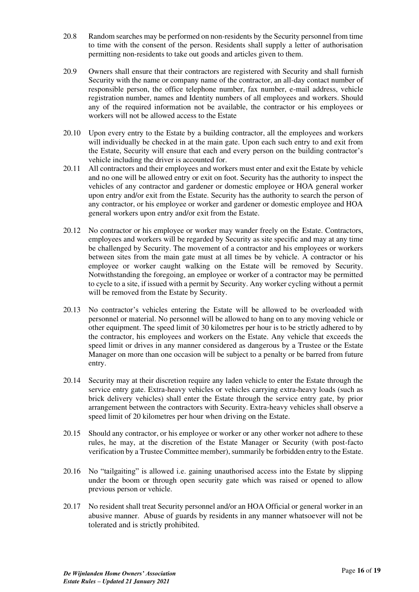- 20.8 Random searches may be performed on non-residents by the Security personnel from time to time with the consent of the person. Residents shall supply a letter of authorisation permitting non-residents to take out goods and articles given to them.
- 20.9 Owners shall ensure that their contractors are registered with Security and shall furnish Security with the name or company name of the contractor, an all-day contact number of responsible person, the office telephone number, fax number, e-mail address, vehicle registration number, names and Identity numbers of all employees and workers. Should any of the required information not be available, the contractor or his employees or workers will not be allowed access to the Estate
- 20.10 Upon every entry to the Estate by a building contractor, all the employees and workers will individually be checked in at the main gate. Upon each such entry to and exit from the Estate, Security will ensure that each and every person on the building contractor's vehicle including the driver is accounted for.
- 20.11 All contractors and their employees and workers must enter and exit the Estate by vehicle and no one will be allowed entry or exit on foot. Security has the authority to inspect the vehicles of any contractor and gardener or domestic employee or HOA general worker upon entry and/or exit from the Estate. Security has the authority to search the person of any contractor, or his employee or worker and gardener or domestic employee and HOA general workers upon entry and/or exit from the Estate.
- 20.12 No contractor or his employee or worker may wander freely on the Estate. Contractors, employees and workers will be regarded by Security as site specific and may at any time be challenged by Security. The movement of a contractor and his employees or workers between sites from the main gate must at all times be by vehicle. A contractor or his employee or worker caught walking on the Estate will be removed by Security. Notwithstanding the foregoing, an employee or worker of a contractor may be permitted to cycle to a site, if issued with a permit by Security. Any worker cycling without a permit will be removed from the Estate by Security.
- 20.13 No contractor's vehicles entering the Estate will be allowed to be overloaded with personnel or material. No personnel will be allowed to hang on to any moving vehicle or other equipment. The speed limit of 30 kilometres per hour is to be strictly adhered to by the contractor, his employees and workers on the Estate. Any vehicle that exceeds the speed limit or drives in any manner considered as dangerous by a Trustee or the Estate Manager on more than one occasion will be subject to a penalty or be barred from future entry.
- 20.14 Security may at their discretion require any laden vehicle to enter the Estate through the service entry gate. Extra-heavy vehicles or vehicles carrying extra-heavy loads (such as brick delivery vehicles) shall enter the Estate through the service entry gate, by prior arrangement between the contractors with Security. Extra-heavy vehicles shall observe a speed limit of 20 kilometres per hour when driving on the Estate.
- 20.15 Should any contractor, or his employee or worker or any other worker not adhere to these rules, he may, at the discretion of the Estate Manager or Security (with post-facto verification by a Trustee Committee member), summarily be forbidden entry to the Estate.
- 20.16 No "tailgaiting" is allowed i.e. gaining unauthorised access into the Estate by slipping under the boom or through open security gate which was raised or opened to allow previous person or vehicle.
- 20.17 No resident shall treat Security personnel and/or an HOA Official or general worker in an abusive manner. Abuse of guards by residents in any manner whatsoever will not be tolerated and is strictly prohibited.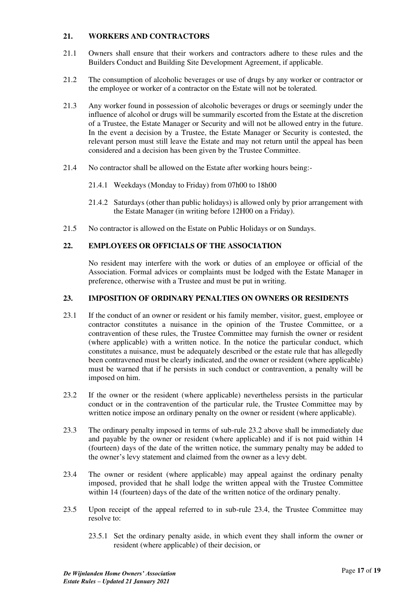# <span id="page-16-0"></span>**21. WORKERS AND CONTRACTORS**

- 21.1 Owners shall ensure that their workers and contractors adhere to these rules and the Builders Conduct and Building Site Development Agreement, if applicable.
- 21.2 The consumption of alcoholic beverages or use of drugs by any worker or contractor or the employee or worker of a contractor on the Estate will not be tolerated.
- 21.3 Any worker found in possession of alcoholic beverages or drugs or seemingly under the influence of alcohol or drugs will be summarily escorted from the Estate at the discretion of a Trustee, the Estate Manager or Security and will not be allowed entry in the future. In the event a decision by a Trustee, the Estate Manager or Security is contested, the relevant person must still leave the Estate and may not return until the appeal has been considered and a decision has been given by the Trustee Committee.
- 21.4 No contractor shall be allowed on the Estate after working hours being:-
	- 21.4.1 Weekdays (Monday to Friday) from 07h00 to 18h00
	- 21.4.2 Saturdays (other than public holidays) is allowed only by prior arrangement with the Estate Manager (in writing before 12H00 on a Friday).
- 21.5 No contractor is allowed on the Estate on Public Holidays or on Sundays.

# <span id="page-16-1"></span>**22. EMPLOYEES OR OFFICIALS OF THE ASSOCIATION**

No resident may interfere with the work or duties of an employee or official of the Association. Formal advices or complaints must be lodged with the Estate Manager in preference, otherwise with a Trustee and must be put in writing.

#### <span id="page-16-2"></span>**23. IMPOSITION OF ORDINARY PENALTIES ON OWNERS OR RESIDENTS**

- 23.1 If the conduct of an owner or resident or his family member, visitor, guest, employee or contractor constitutes a nuisance in the opinion of the Trustee Committee, or a contravention of these rules, the Trustee Committee may furnish the owner or resident (where applicable) with a written notice. In the notice the particular conduct, which constitutes a nuisance, must be adequately described or the estate rule that has allegedly been contravened must be clearly indicated, and the owner or resident (where applicable) must be warned that if he persists in such conduct or contravention, a penalty will be imposed on him.
- 23.2 If the owner or the resident (where applicable) nevertheless persists in the particular conduct or in the contravention of the particular rule, the Trustee Committee may by written notice impose an ordinary penalty on the owner or resident (where applicable).
- 23.3 The ordinary penalty imposed in terms of sub-rule 23.2 above shall be immediately due and payable by the owner or resident (where applicable) and if is not paid within 14 (fourteen) days of the date of the written notice, the summary penalty may be added to the owner's levy statement and claimed from the owner as a levy debt.
- 23.4 The owner or resident (where applicable) may appeal against the ordinary penalty imposed, provided that he shall lodge the written appeal with the Trustee Committee within 14 (fourteen) days of the date of the written notice of the ordinary penalty.
- 23.5 Upon receipt of the appeal referred to in sub-rule 23.4, the Trustee Committee may resolve to:
	- 23.5.1 Set the ordinary penalty aside, in which event they shall inform the owner or resident (where applicable) of their decision, or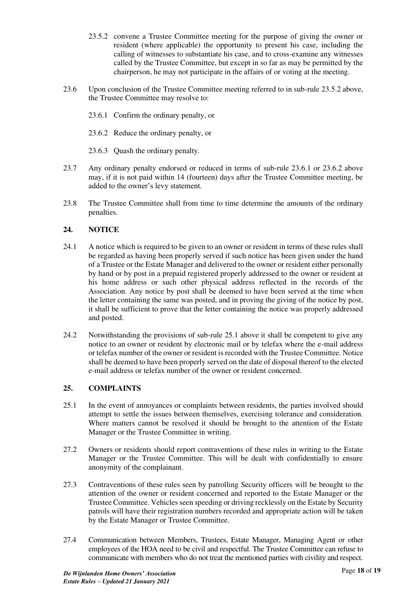- 23.5.2 convene a Trustee Committee meeting for the purpose of giving the owner or resident (where applicable) the opportunity to present his case, including the calling of witnesses to substantiate his case, and to cross-examine any witnesses called by the Trustee Committee, but except in so far as may be permitted by the chairperson, he may not participate in the affairs of or voting at the meeting.
- 23.6 Upon conclusion of the Trustee Committee meeting referred to in sub-rule 23.5.2 above, the Trustee Committee may resolve to:
	- 23.6.1 Confirm the ordinary penalty, or
	- 23.6.2 Reduce the ordinary penalty, or
	- 23.6.3 Quash the ordinary penalty.
- 23.7 Any ordinary penalty endorsed or reduced in terms of sub-rule 23.6.1 or 23.6.2 above may, if it is not paid within 14 (fourteen) days after the Trustee Committee meeting, be added to the owner's levy statement.
- 23.8 The Trustee Committee shall from time to time determine the amounts of the ordinary penalties.

#### <span id="page-17-0"></span>**24. NOTICE**

- 24.1 A notice which is required to be given to an owner or resident in terms of these rules shall be regarded as having been properly served if such notice has been given under the hand of a Trustee or the Estate Manager and delivered to the owner or resident either personally by hand or by post in a prepaid registered properly addressed to the owner or resident at his home address or such other physical address reflected in the records of the Association. Any notice by post shall be deemed to have been served at the time when the letter containing the same was posted, and in proving the giving of the notice by post, it shall be sufficient to prove that the letter containing the notice was properly addressed and posted.
- 24.2 Notwithstanding the provisions of sub-rule 25.1 above it shall be competent to give any notice to an owner or resident by electronic mail or by telefax where the e-mail address or telefax number of the owner or resident is recorded with the Trustee Committee. Notice shall be deemed to have been properly served on the date of disposal thereof to the elected e-mail address or telefax number of the owner or resident concerned.

#### <span id="page-17-1"></span>**25. COMPLAINTS**

- 25.1 In the event of annoyances or complaints between residents, the parties involved should attempt to settle the issues between themselves, exercising tolerance and consideration. Where matters cannot be resolved it should be brought to the attention of the Estate Manager or the Trustee Committee in writing.
- 27.2 Owners or residents should report contraventions of these rules in writing to the Estate Manager or the Trustee Committee. This will be dealt with confidentially to ensure anonymity of the complainant.
- 27.3 Contraventions of these rules seen by patrolling Security officers will be brought to the attention of the owner or resident concerned and reported to the Estate Manager or the Trustee Committee. Vehicles seen speeding or driving recklessly on the Estate by Security patrols will have their registration numbers recorded and appropriate action will be taken by the Estate Manager or Trustee Committee.
- 27.4 Communication between Members, Trustees, Estate Manager, Managing Agent or other employees of the HOA need to be civil and respectful. The Trustee Committee can refuse to communicate with members who do not treat the mentioned parties with civility and respect.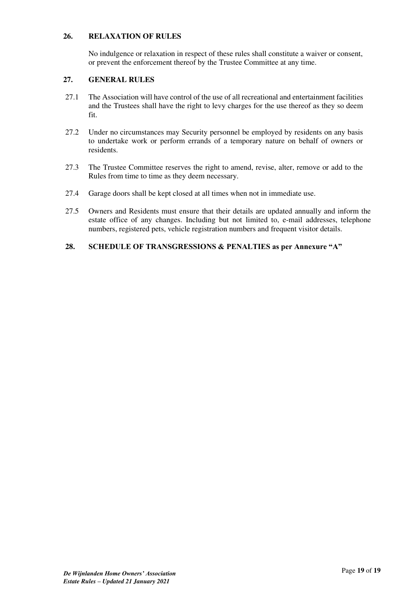# <span id="page-18-0"></span>**26. RELAXATION OF RULES**

No indulgence or relaxation in respect of these rules shall constitute a waiver or consent, or prevent the enforcement thereof by the Trustee Committee at any time.

#### <span id="page-18-1"></span>**27. GENERAL RULES**

- 27.1 The Association will have control of the use of all recreational and entertainment facilities and the Trustees shall have the right to levy charges for the use thereof as they so deem fit.
- 27.2 Under no circumstances may Security personnel be employed by residents on any basis to undertake work or perform errands of a temporary nature on behalf of owners or residents.
- 27.3 The Trustee Committee reserves the right to amend, revise, alter, remove or add to the Rules from time to time as they deem necessary.
- 27.4 Garage doors shall be kept closed at all times when not in immediate use.
- 27.5 Owners and Residents must ensure that their details are updated annually and inform the estate office of any changes. Including but not limited to, e-mail addresses, telephone numbers, registered pets, vehicle registration numbers and frequent visitor details.

#### <span id="page-18-2"></span>**28. SCHEDULE OF TRANSGRESSIONS & PENALTIES as per Annexure "A"**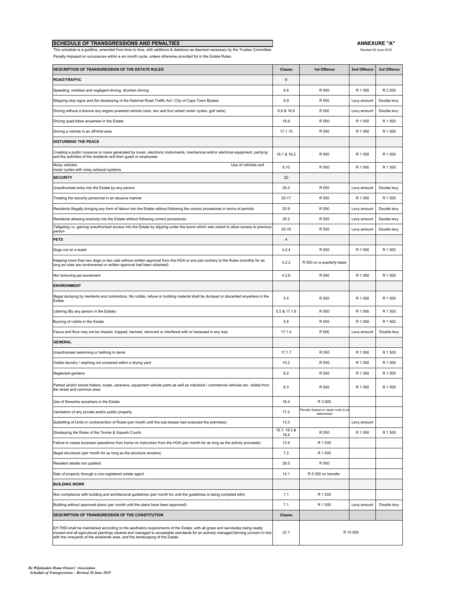| <b>SCHEDULE OF TRANSGRESSIONS AND PENALTIES</b>                                                                                  | <b>ANNEXURE "A</b>   |
|----------------------------------------------------------------------------------------------------------------------------------|----------------------|
| This schedule is a quidline, amended from time to time, with additions & deletions as deemed necessary by the Trustee Committee. | Revised 20 June 2019 |

**ANNEXURE "A"**

Penalty imposed on occurances within a six month cycle, unless otherwise provided for in the Estate Rules.

| DESCRIPTION OF TRANSGRESSION OF THE ESTATE RULES                                                                                                                                                                                                                                                                                                    | Clause               | 1st Offence                                        | 2nd Offence | 3rd Offence |
|-----------------------------------------------------------------------------------------------------------------------------------------------------------------------------------------------------------------------------------------------------------------------------------------------------------------------------------------------------|----------------------|----------------------------------------------------|-------------|-------------|
| <b>ROAD/TRAFFIC</b>                                                                                                                                                                                                                                                                                                                                 | 6                    |                                                    |             |             |
| Speeding, reckless and negligent driving, drunken driving                                                                                                                                                                                                                                                                                           | 6.8                  | R 500                                              | R 1 000     | R 2 000     |
| Skipping stop signs and the disobeying of the National Road Traffic Act / City of Cape Town Bylaws                                                                                                                                                                                                                                                  | 6.9                  | R 500                                              | Levy amount | Double levy |
| Driving without a licence any engine powered vehicle (cars, two and four wheel motor cycles, golf carts)                                                                                                                                                                                                                                            | 6.9 & 16.8           | R 500                                              | Levy amount | Double levy |
| Driving quad bikes anywhere in the Estate                                                                                                                                                                                                                                                                                                           | 16.9                 | R 500                                              | R 1 000     | R 1 500     |
| Driving a vehicle in an off-limit area                                                                                                                                                                                                                                                                                                              | 17.1.10              | R 500                                              | R 1 000     | R 1 500     |
| <b>DISTURBING THE PEACE</b>                                                                                                                                                                                                                                                                                                                         |                      |                                                    |             |             |
| Creating a public nuisance or noise generated by music, electronic instruments, mechanical and/or electrical equipment, partying<br>and the activities of the residents and their guest or employees                                                                                                                                                | 16.1 & 16.2          | R 500                                              | R 1 000     | R 1 500     |
| Noisy vehicles<br>Use of vehicles and<br>motor cycles with noisy exhaust systems                                                                                                                                                                                                                                                                    | 6.10                 | R 500                                              | R 1 000     | R 1 500     |
| <b>SECURITY</b>                                                                                                                                                                                                                                                                                                                                     | 20                   |                                                    |             |             |
| Unauthorised entry into the Estate by any person                                                                                                                                                                                                                                                                                                    | 20.2                 | R 500                                              | Levy amount | Double levy |
| Treating the security personnel in an abusive manner                                                                                                                                                                                                                                                                                                | 20.17                | R 500                                              | R 1 000     | R 1 500     |
| Residents illegally bringing any form of labour into the Estate without following the correct procedures in terms of permits                                                                                                                                                                                                                        | 20.9                 | R 500                                              | Levy amount | Double levy |
| Residents allowing anybody into the Estate without following correct procedures                                                                                                                                                                                                                                                                     | 20.2                 | R 500                                              | Levy amount | Double levy |
| Tailgating i.e. gaining unauthorised access into the Estate by slipping under the boom which was raised to allow access to previous<br>person                                                                                                                                                                                                       | 20.16                | R 500                                              | Levy amount | Double levy |
| <b>PETS</b>                                                                                                                                                                                                                                                                                                                                         | $\overline{4}$       |                                                    |             |             |
| Dogs not on a leash                                                                                                                                                                                                                                                                                                                                 | 4.2.4                | R 500                                              | R 1 000     | R 1 500     |
| Keeping more than two dogs or two cats without written approval from the HOA or any pet contrary to the Rules (monthly for as<br>long as rules are contravened or written approval had been obtained)                                                                                                                                               | 4.2.2                | R 500 on a quarterly basis                         |             |             |
| Not removing pet excrement                                                                                                                                                                                                                                                                                                                          | 4.2.6                | R 500                                              | R 1 000     | R 1 500     |
| <b>ENVIRONMENT</b>                                                                                                                                                                                                                                                                                                                                  |                      |                                                    |             |             |
| Illegal dumping by residents and contractors. No rubble, refuse or building material shall be dumped or discarded anywhere in the<br>Estate                                                                                                                                                                                                         | 5.4                  | R 500                                              | R 1 000     | R 1 500     |
| Littering (By any person in the Estate)                                                                                                                                                                                                                                                                                                             | 5.5 & 17.1.9         | R 500                                              | R 1 000     | R 1 500     |
| Burning of rubble in the Estate                                                                                                                                                                                                                                                                                                                     | 5.6                  | R 500                                              | R 1 000     | R 1 500     |
| Fauna and flora may not be chased, trapped, harmed, removed or interfered with or harassed in any way                                                                                                                                                                                                                                               | 17.1.4               | R 500                                              | Levy amount | Double levy |
| <b>GENERAL</b>                                                                                                                                                                                                                                                                                                                                      |                      |                                                    |             |             |
| Unauthorised swimming or bathing in dams                                                                                                                                                                                                                                                                                                            | 17.1.7               | R 500                                              | R 1 000     | R 1 500     |
| Visible laundry / washing not screened within a drying yard                                                                                                                                                                                                                                                                                         | 10.2                 | R 500                                              | R 1 000     | R 1 500     |
| Neglected gardens                                                                                                                                                                                                                                                                                                                                   | 8.2                  | R 500                                              | R 1 000     | R 1 500     |
| Parked and/or stored trailers, boats, caravans, equipment vehicle parts as well as industrial / commercial vehicles etc. visible from<br>the street and common area                                                                                                                                                                                 | 6.3                  | R 500                                              | R 1 000     | R 1 500     |
| Use of fireworks anywhere in the Estate                                                                                                                                                                                                                                                                                                             | 16.4                 | R 3 000                                            |             |             |
| Vandalism of any private and/or public property                                                                                                                                                                                                                                                                                                     | 17.2                 | Penalty (based on repair cost) to be<br>determined |             |             |
| Subletting of Units in contravention of Rules (per month until the sub-lessee had evacuted the premises)                                                                                                                                                                                                                                            | 13.3                 |                                                    | Levy amount |             |
| Disobeying the Rules of the Tennis & Sqaush Courts                                                                                                                                                                                                                                                                                                  | 18.1; 18.3 &<br>18.4 | R 500                                              | R 1 000     | R 1 500     |
| Failure to cease business operations from home on instruction from the HOA (per month for as long as the activity proceeds)                                                                                                                                                                                                                         | 13.4                 | R 1 000                                            |             |             |
| Illegal structures (per month for as long as the structure remains)                                                                                                                                                                                                                                                                                 | 7.2                  | R 1 000                                            |             |             |
| Resident details not updated                                                                                                                                                                                                                                                                                                                        | 28.5                 | R 500                                              |             |             |
| Sale of property through a non-registered estate agent                                                                                                                                                                                                                                                                                              | 14.1                 | R 5 000 on transfer                                |             |             |
| <b>BUILDING WORK</b>                                                                                                                                                                                                                                                                                                                                |                      |                                                    |             |             |
| Non compliance with building and architectural guidelines (per month for until the guidelines is being complied with)                                                                                                                                                                                                                               | 7.1                  | R 1 0 0 0                                          |             |             |
| Building without approved plans (per month until the plans have been approved)                                                                                                                                                                                                                                                                      | 7.1                  | R 1 000                                            | Levy amount | Double levy |
| DESCRIPTION OF TRANSGRESSION OF THE CONSTITUTION                                                                                                                                                                                                                                                                                                    | Clause               |                                                    |             |             |
| Erf 7050 shall be maintained according to the aesthetics requirements of the Estate, with all grass and servitudes being neatly<br>mowed and all agricultural plantings cleared and managed to acceptable standards for an actively managed farming concern in line<br>with the vineyards of the winelands area, and the landscaping of the Estate. |                      | R 10 000                                           |             |             |